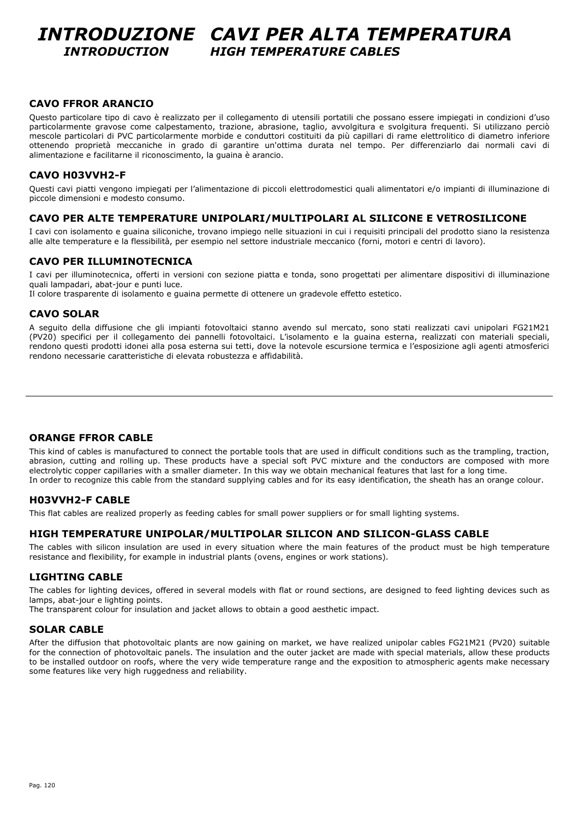### *INTRODUZIONE CAVI PER ALTA TEMPERATURA INTRODUCTION HIGH TEMPERATURE CABLES*

### **CAVO FFROR ARANCIO**

Questo particolare tipo di cavo è realizzato per il collegamento di utensili portatili che possano essere impiegati in condizioni d'uso particolarmente gravose come calpestamento, trazione, abrasione, taglio, avvolgitura e svolgitura frequenti. Si utilizzano perciò mescole particolari di PVC particolarmente morbide e conduttori costituiti da più capillari di rame elettrolitico di diametro inferiore ottenendo proprietà meccaniche in grado di garantire un'ottima durata nel tempo. Per differenziarlo dai normali cavi di alimentazione e facilitarne il riconoscimento, la guaina è arancio.

### **CAVO H03VVH2-F**

Questi cavi piatti vengono impiegati per l'alimentazione di piccoli elettrodomestici quali alimentatori e/o impianti di illuminazione di piccole dimensioni e modesto consumo.

### **CAVO PER ALTE TEMPERATURE UNIPOLARI/MULTIPOLARI AL SILICONE E VETROSILICONE**

I cavi con isolamento e guaina siliconiche, trovano impiego nelle situazioni in cui i requisiti principali del prodotto siano la resistenza alle alte temperature e la flessibilità, per esempio nel settore industriale meccanico (forni, motori e centri di lavoro).

### **CAVO PER ILLUMINOTECNICA**

I cavi per illuminotecnica, offerti in versioni con sezione piatta e tonda, sono progettati per alimentare dispositivi di illuminazione quali lampadari, abat-jour e punti luce.

Il colore trasparente di isolamento e guaina permette di ottenere un gradevole effetto estetico.

### **CAVO SOLAR**

A seguito della diffusione che gli impianti fotovoltaici stanno avendo sul mercato, sono stati realizzati cavi unipolari FG21M21 (PV20) specifici per il collegamento dei pannelli fotovoltaici. L'isolamento e la guaina esterna, realizzati con materiali speciali, rendono questi prodotti idonei alla posa esterna sui tetti, dove la notevole escursione termica e l'esposizione agli agenti atmosferici rendono necessarie caratteristiche di elevata robustezza e affidabilità.

### **ORANGE FFROR CABLE**

This kind of cables is manufactured to connect the portable tools that are used in difficult conditions such as the trampling, traction, abrasion, cutting and rolling up. These products have a special soft PVC mixture and the conductors are composed with more electrolytic copper capillaries with a smaller diameter. In this way we obtain mechanical features that last for a long time. In order to recognize this cable from the standard supplying cables and for its easy identification, the sheath has an orange colour.

### **H03VVH2-F CABLE**

This flat cables are realized properly as feeding cables for small power suppliers or for small lighting systems.

#### **HIGH TEMPERATURE UNIPOLAR/MULTIPOLAR SILICON AND SILICON-GLASS CABLE**

The cables with silicon insulation are used in every situation where the main features of the product must be high temperature resistance and flexibility, for example in industrial plants (ovens, engines or work stations).

### **LIGHTING CABLE**

The cables for lighting devices, offered in several models with flat or round sections, are designed to feed lighting devices such as lamps, abat-jour e lighting points.

The transparent colour for insulation and jacket allows to obtain a good aesthetic impact.

### **SOLAR CABLE**

After the diffusion that photovoltaic plants are now gaining on market, we have realized unipolar cables FG21M21 (PV20) suitable for the connection of photovoltaic panels. The insulation and the outer jacket are made with special materials, allow these products to be installed outdoor on roofs, where the very wide temperature range and the exposition to atmospheric agents make necessary some features like very high ruggedness and reliability.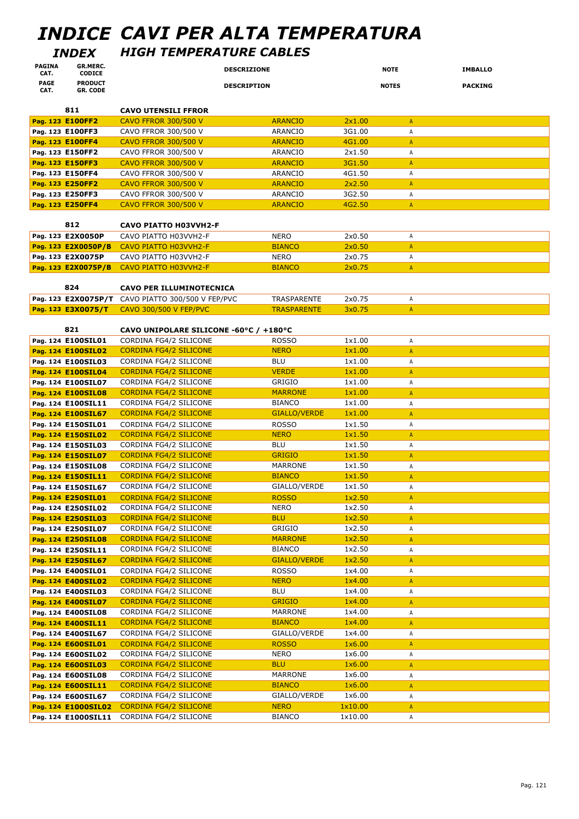# *INDICE CAVI PER ALTA TEMPERATURA*

### *INDEX HIGH TEMPERATURE CABLES*

| <b>PAGINA</b><br>CAT. | GR.MERC.<br><b>CODICE</b>                | <b>DESCRIZIONE</b>                                      |                           | <b>NOTE</b>      |                | <b>IMBALLO</b> |
|-----------------------|------------------------------------------|---------------------------------------------------------|---------------------------|------------------|----------------|----------------|
| <b>PAGE</b>           | <b>PRODUCT</b>                           | <b>DESCRIPTION</b>                                      |                           | <b>NOTES</b>     |                | <b>PACKING</b> |
| CAT.                  | <b>GR. CODE</b>                          |                                                         |                           |                  |                |                |
|                       | 811                                      | <b>CAVO UTENSILI FFROR</b>                              |                           |                  |                |                |
|                       | Pag. 123 E100FF2                         | <b>CAVO FFROR 300/500 V</b>                             | <b>ARANCIO</b>            | 2x1.00           | $\mathsf{A}$   |                |
|                       | Pag. 123 E100FF3                         | CAVO FFROR 300/500 V                                    | ARANCIO                   | 3G1.00           | Α              |                |
|                       | Pag. 123 E100FF4                         | <b>CAVO FFROR 300/500 V</b>                             | <b>ARANCIO</b>            | 4G1.00           | A              |                |
|                       | Pag. 123 E150FF2                         | CAVO FFROR 300/500 V                                    | ARANCIO                   | 2x1.50           | А              |                |
|                       | Pag. 123 E150FF3                         | <b>CAVO FFROR 300/500 V</b>                             | <b>ARANCIO</b>            | 3G1.50           | A              |                |
|                       | Pag. 123 E150FF4                         | CAVO FFROR 300/500 V                                    | <b>ARANCIO</b>            | 4G1.50           | Α              |                |
|                       | Pag. 123 E250FF2                         | <b>CAVO FFROR 300/500 V</b>                             | <b>ARANCIO</b>            | 2x2.50           | $\mathsf{A}$   |                |
|                       | Pag. 123 E250FF3                         | CAVO FFROR 300/500 V                                    | <b>ARANCIO</b>            | 3G2.50           | Α              |                |
|                       | Pag. 123 E250FF4                         | <b>CAVO FFROR 300/500 V</b>                             | <b>ARANCIO</b>            | 4G2.50           | $\mathsf{A}$   |                |
|                       |                                          |                                                         |                           |                  |                |                |
|                       | 812                                      | <b>CAVO PIATTO H03VVH2-F</b>                            |                           |                  |                |                |
|                       | Pag. 123 E2X0050P                        | CAVO PIATTO H03VVH2-F                                   | <b>NERO</b>               | 2x0.50           | Α              |                |
|                       | Pag. 123 E2X0050P/B                      | <b>CAVO PIATTO H03VVH2-F</b><br>CAVO PIATTO H03VVH2-F   | <b>BIANCO</b>             | 2x0.50<br>2x0.75 | $\mathsf{A}$   |                |
|                       | Pag. 123 E2X0075P                        |                                                         | <b>NERO</b>               | 2x0.75           | Α              |                |
|                       | Pag. 123 E2X0075P/B                      | <b>CAVO PIATTO H03VVH2-F</b>                            | <b>BIANCO</b>             |                  | A              |                |
|                       | 824                                      | <b>CAVO PER ILLUMINOTECNICA</b>                         |                           |                  |                |                |
|                       | Pag. 123 E2X0075P/T                      | CAVO PIATTO 300/500 V FEP/PVC                           | TRASPARENTE               | 2x0.75           | A              |                |
|                       | Pag. 123 E3X0075/T                       | <b>CAVO 300/500 V FEP/PVC</b>                           | <b>TRASPARENTE</b>        | 3x0.75           | A              |                |
|                       |                                          |                                                         |                           |                  |                |                |
|                       | 821                                      | CAVO UNIPOLARE SILICONE -60°C / +180°C                  |                           |                  |                |                |
|                       | Pag. 124 E100SIL01                       | CORDINA FG4/2 SILICONE                                  | <b>ROSSO</b>              | 1x1.00           | Α              |                |
|                       | Pag. 124 E100SIL02                       | <b>CORDINA FG4/2 SILICONE</b>                           | <b>NERO</b>               | 1x1.00           | $\mathsf{A}$   |                |
|                       | Pag. 124 E100SIL03                       | CORDINA FG4/2 SILICONE                                  | <b>BLU</b>                | 1x1.00           | Α              |                |
|                       | Pag. 124 E100SIL04                       | <b>CORDINA FG4/2 SILICONE</b>                           | <b>VERDE</b>              | 1x1.00           | A              |                |
|                       | Pag. 124 E100SIL07                       | CORDINA FG4/2 SILICONE                                  | <b>GRIGIO</b>             | 1×1.00           | Α              |                |
|                       | Pag. 124 E100SIL08                       | <b>CORDINA FG4/2 SILICONE</b>                           | <b>MARRONE</b>            | 1x1.00           | $\mathsf{A}$   |                |
|                       | Pag. 124 E100SIL11                       | CORDINA FG4/2 SILICONE                                  | <b>BIANCO</b>             | 1x1.00           | А              |                |
|                       | Pag. 124 E100SIL67                       | <b>CORDINA FG4/2 SILICONE</b>                           | <b>GIALLO/VERDE</b>       | 1x1.00           | A              |                |
|                       | Pag. 124 E150SIL01                       | CORDINA FG4/2 SILICONE                                  | <b>ROSSO</b>              | 1x1.50           | Α              |                |
|                       | Pag. 124 E150SIL02                       | <b>CORDINA FG4/2 SILICONE</b>                           | <b>NERO</b>               | 1x1.50           | $\mathsf{A}$   |                |
|                       | Pag. 124 E150SIL03                       | CORDINA FG4/2 SILICONE                                  | <b>BLU</b>                | 1x1.50           | Α              |                |
|                       | Pag. 124 E150SIL07                       | <b>CORDINA FG4/2 SILICONE</b>                           | <b>GRIGIO</b>             | 1x1.50           | $\mathsf{A}$   |                |
|                       | Pag. 124 E150SIL08                       | CORDINA FG4/2 SILICONE                                  | <b>MARRONE</b>            | 1x1.50           | Α              |                |
|                       | Pag. 124 E150SIL11                       | <b>CORDINA FG4/2 SILICONE</b>                           | <b>BIANCO</b>             | 1x1.50           | $\overline{A}$ |                |
|                       | Pag. 124 E150SIL67                       | CORDINA FG4/2 SILICONE                                  | GIALLO/VERDE              | 1x1.50           | A              |                |
|                       | Pag. 124 E250SIL01                       | <b>CORDINA FG4/2 SILICONE</b>                           | <b>ROSSO</b>              | 1x2.50           | $\mathsf{A}$   |                |
|                       | Pag. 124 E250SIL02                       | CORDINA FG4/2 SILICONE                                  | <b>NERO</b><br><b>BLU</b> | 1x2.50<br>1x2.50 | А              |                |
|                       | Pag. 124 E250SIL03<br>Pag. 124 E250SIL07 | <b>CORDINA FG4/2 SILICONE</b><br>CORDINA FG4/2 SILICONE | GRIGIO                    | 1x2.50           | A              |                |
|                       | Pag. 124 E250SIL08                       | <b>CORDINA FG4/2 SILICONE</b>                           | <b>MARRONE</b>            | 1x2.50           | Α              |                |
|                       | Pag. 124 E250SIL11                       | CORDINA FG4/2 SILICONE                                  | <b>BIANCO</b>             | 1x2.50           | A<br>Α         |                |
|                       | Pag. 124 E250SIL67                       | <b>CORDINA FG4/2 SILICONE</b>                           | <b>GIALLO/VERDE</b>       | 1x2.50           | A              |                |
|                       | Pag. 124 E400SIL01                       | CORDINA FG4/2 SILICONE                                  | <b>ROSSO</b>              | 1x4.00           | Α              |                |
|                       | Pag. 124 E400SIL02                       | <b>CORDINA FG4/2 SILICONE</b>                           | <b>NERO</b>               | 1x4.00           | A              |                |
|                       | Pag. 124 E400SIL03                       | CORDINA FG4/2 SILICONE                                  | <b>BLU</b>                | 1x4.00           | Α              |                |
|                       | Pag. 124 E400SIL07                       | <b>CORDINA FG4/2 SILICONE</b>                           | <b>GRIGIO</b>             | 1x4.00           | A              |                |
|                       | Pag. 124 E400SIL08                       | CORDINA FG4/2 SILICONE                                  | <b>MARRONE</b>            | 1x4.00           | Α              |                |
|                       | Pag. 124 E400SIL11                       | <b>CORDINA FG4/2 SILICONE</b>                           | <b>BIANCO</b>             | 1x4.00           | A              |                |
|                       | Pag. 124 E400SIL67                       | CORDINA FG4/2 SILICONE                                  | GIALLO/VERDE              | 1x4.00           | Α              |                |
|                       | Pag. 124 E600SIL01                       | <b>CORDINA FG4/2 SILICONE</b>                           | <b>ROSSO</b>              | 1x6.00           | $\mathsf{A}$   |                |
|                       | Pag. 124 E600SIL02                       | CORDINA FG4/2 SILICONE                                  | NERO                      | 1x6.00           | Α              |                |
|                       | Pag. 124 E600SIL03                       | <b>CORDINA FG4/2 SILICONE</b>                           | <b>BLU</b>                | 1x6.00           | A              |                |
|                       | Pag. 124 E600SIL08                       | CORDINA FG4/2 SILICONE                                  | MARRONE                   | 1x6.00           | A              |                |
|                       | Pag. 124 E600SIL11                       | <b>CORDINA FG4/2 SILICONE</b>                           | <b>BIANCO</b>             | 1x6.00           | A              |                |
|                       | Pag. 124 E600SIL67                       | CORDINA FG4/2 SILICONE                                  | GIALLO/VERDE              | 1x6.00           | Α              |                |
|                       | Pag. 124 E1000SIL02                      | <b>CORDINA FG4/2 SILICONE</b>                           | <b>NERO</b>               | 1x10.00          | A              |                |
|                       |                                          | Pag. 124 E1000SIL11 CORDINA FG4/2 SILICONE              | <b>BIANCO</b>             | 1x10.00          | Α              |                |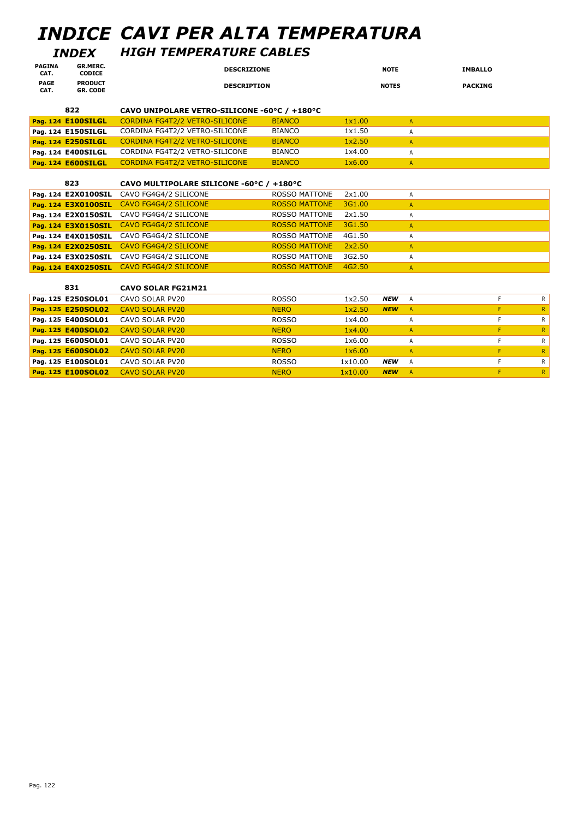# *INDICE CAVI PER ALTA TEMPERATURA*

### *INDEX HIGH TEMPERATURE CABLES*

| <b>PAGINA</b><br>CAT. | <b>GR.MERC.</b><br><b>CODICE</b>  | <b>DESCRIZIONE</b> | <b>NOTE</b>  | <b>IMBALLO</b> |
|-----------------------|-----------------------------------|--------------------|--------------|----------------|
| <b>PAGE</b><br>CAT.   | <b>PRODUCT</b><br><b>GR. CODE</b> | <b>DESCRIPTION</b> | <b>NOTES</b> | <b>PACKING</b> |

| 822                | CAVO UNIPOLARE VETRO-SILICONE -60°C / +180°C |               |        |  |
|--------------------|----------------------------------------------|---------------|--------|--|
| Pag. 124 E100SILGL | CORDINA FG4T2/2 VETRO-SILICONE               | <b>BIANCO</b> | 1x1.00 |  |
| Pag. 124 E150SILGL | CORDINA FG4T2/2 VETRO-SILICONE               | <b>BIANCO</b> | 1x1.50 |  |
| Pag. 124 E250SILGL | CORDINA FG4T2/2 VETRO-SILICONE               | <b>BIANCO</b> | 1x2.50 |  |
| Pag. 124 E400SILGL | CORDINA FG4T2/2 VETRO-SILICONE               | <b>BIANCO</b> | 1x4.00 |  |
| Pag. 124 E600SILGL | CORDINA FG4T2/2 VETRO-SILICONE               | <b>BIANCO</b> | 1x6.00 |  |

| 823                 | CAVO MULTIPOLARE SILICONE -60°C / +180°C |                      |        |   |
|---------------------|------------------------------------------|----------------------|--------|---|
| Pag. 124 E2X0100SIL | CAVO FG4G4/2 SILICONE                    | <b>ROSSO MATTONE</b> | 2x1.00 |   |
| Pag. 124 E3X0100SIL | CAVO FG4G4/2 SILICONE                    | <b>ROSSO MATTONE</b> | 3G1.00 | A |
| Pag. 124 E2X0150SIL | CAVO FG4G4/2 SILICONE                    | <b>ROSSO MATTONE</b> | 2x1.50 |   |
| Pag. 124 E3X0150SIL | CAVO FG4G4/2 SILICONE                    | <b>ROSSO MATTONE</b> | 3G1.50 |   |
| Pag. 124 E4X0150SIL | CAVO FG4G4/2 SILICONE                    | <b>ROSSO MATTONE</b> | 4G1.50 |   |
| Pag. 124 E2X0250SIL | CAVO FG4G4/2 SILICONE                    | <b>ROSSO MATTONE</b> | 2x2.50 | A |
| Pag. 124 E3X0250SIL | CAVO FG4G4/2 SILICONE                    | <b>ROSSO MATTONE</b> | 3G2.50 |   |
| Pag. 124 E4X0250SIL | CAVO FG4G4/2 SILICONE                    | <b>ROSSO MATTONE</b> | 4G2.50 |   |

| 831                | <b>CAVO SOLAR FG21M21</b> |              |         |            |          |    |
|--------------------|---------------------------|--------------|---------|------------|----------|----|
| Pag. 125 E250SOL01 | CAVO SOLAR PV20           | <b>ROSSO</b> | 1x2.50  | <b>NEW</b> | A        | R  |
| Pag. 125 E250SOL02 | <b>CAVO SOLAR PV20</b>    | <b>NERO</b>  | 1x2.50  | <b>NEW</b> | <b>A</b> | R  |
| Pag. 125 E400SOL01 | CAVO SOLAR PV20           | <b>ROSSO</b> | 1x4.00  |            |          | R. |
| Pag. 125 E400SOL02 | <b>CAVO SOLAR PV20</b>    | <b>NERO</b>  | 1x4.00  |            |          | R  |
| Pag. 125 E600SOL01 | CAVO SOLAR PV20           | <b>ROSSO</b> | 1x6.00  |            |          | R  |
| Pag. 125 E600SOL02 | <b>CAVO SOLAR PV20</b>    | <b>NERO</b>  | 1x6.00  |            |          | R  |
| Pag. 125 E100SOL01 | CAVO SOLAR PV20           | <b>ROSSO</b> | 1x10.00 | <b>NEW</b> | A        | R  |
| Pag. 125 E100SOL02 | <b>CAVO SOLAR PV20</b>    | <b>NERO</b>  | 1x10.00 | <b>NEW</b> | <b>A</b> | R  |
|                    |                           |              |         |            |          |    |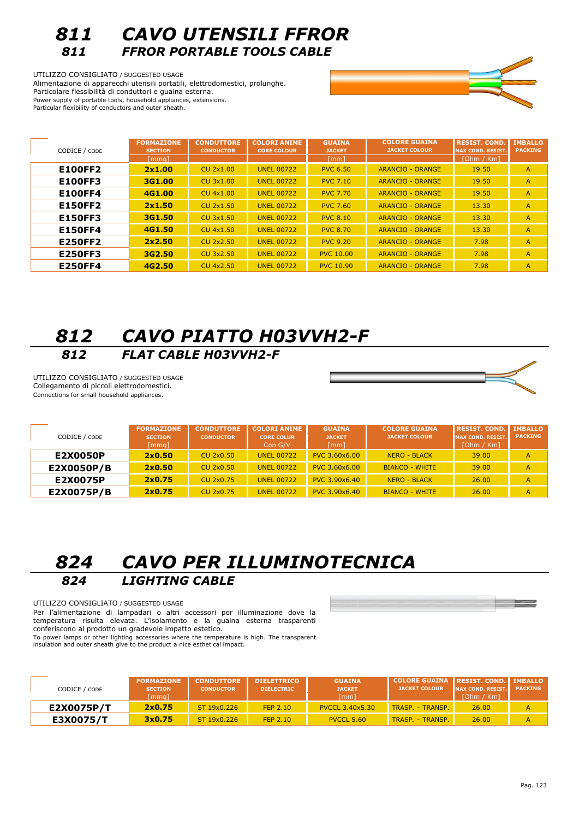

UTILIZZO CONSIGLIATO / SUGGESTED USAGE Alimentazione di apparecchi utensili portatili, elettrodomestici, prolunghe. Particolare flessibilità di conduttori e guaina esterna. Power supply of portable tools, household appliances, extensions. Particular flexibility of conductors and outer sheath.

| CODICE / CODE  | <b>FORMAZIONE</b><br><b>SECTION</b><br>[mmq] | <b>CONDUTTORE</b><br><b>CONDUCTOR</b> | <b>COLORI ANIME</b><br><b>CORE COLOUR</b> | <b>GUAINA</b><br><b>JACKET</b><br>[mm] | <b>COLORE GUAINA</b><br><b>JACKET COLOUR</b> | <b>RESIST. COND.</b><br><b>MAX COND. RESIST.</b><br>[Ohm / Km] | <b>IMBALLO</b><br><b>PACKING</b> |
|----------------|----------------------------------------------|---------------------------------------|-------------------------------------------|----------------------------------------|----------------------------------------------|----------------------------------------------------------------|----------------------------------|
| <b>E100FF2</b> | 2x1.00                                       | <b>CU 2x1.00</b>                      | <b>UNEL 00722</b>                         | <b>PVC 6.50</b>                        | <b>ARANCIO - ORANGE</b>                      | 19.50                                                          | $\overline{A}$                   |
| <b>E100FF3</b> | 3G1.00                                       | <b>CU 3x1.00</b>                      | <b>UNEL 00722</b>                         | <b>PVC 7.10</b>                        | <b>ARANCIO - ORANGE</b>                      | 19.50                                                          | A                                |
| <b>E100FF4</b> | 4G1.00                                       | <b>CU 4x1.00</b>                      | <b>UNEL 00722</b>                         | <b>PVC 7.70</b>                        | <b>ARANCIO - ORANGE</b>                      | 19.50                                                          | A                                |
| <b>E150FF2</b> | 2x1.50                                       | <b>CU 2x1.50</b>                      | <b>UNEL 00722</b>                         | <b>PVC 7.60</b>                        | <b>ARANCIO - ORANGE</b>                      | 13.30                                                          | $\overline{A}$                   |
| <b>E150FF3</b> | 3G1.50                                       | <b>CU 3x1.50</b>                      | <b>UNEL 00722</b>                         | <b>PVC 8.10</b>                        | <b>ARANCIO - ORANGE</b>                      | 13.30                                                          | A                                |
| <b>E150FF4</b> | 4G1.50                                       | <b>CU 4x1.50</b>                      | <b>UNEL 00722</b>                         | <b>PVC 8.70</b>                        | <b>ARANCIO - ORANGE</b>                      | 13.30                                                          | $\mathsf{A}$                     |
| <b>E250FF2</b> | 2x2.50                                       | <b>CU 2x2.50</b>                      | <b>UNEL 00722</b>                         | <b>PVC 9.20</b>                        | <b>ARANCIO - ORANGE</b>                      | 7.98                                                           | A                                |
| <b>E250FF3</b> | 3G2.50                                       | <b>CU 3x2.50</b>                      | <b>UNEL 00722</b>                         | <b>PVC 10.00</b>                       | <b>ARANCIO - ORANGE</b>                      | 7.98                                                           | $\mathsf{A}$                     |
| <b>E250FF4</b> | 4G2.50                                       | <b>CU 4x2.50</b>                      | <b>UNEL 00722</b>                         | <b>PVC 10.90</b>                       | <b>ARANCIO - ORANGE</b>                      | 7.98                                                           | $\overline{A}$                   |

## *812 CAVO PIATTO H03VVH2-F 812 FLAT CABLE H03VVH2-F*

UTILIZZO CONSIGLIATO / SUGGESTED USAGE Collegamento di piccoli elettrodomestici. Connections for small household appliances.



| CODICE / CODE | <b>FORMAZIONE</b><br><b>SECTION</b><br>[mmq] | <b>CONDUTTORE</b><br><b>CONDUCTOR</b> | <b>COLORI ANIME</b><br><b>CORE COLUR</b><br>Con G/V | <b>GUAINA</b><br><b>JACKET</b><br>[mm] | <b>COLORE GUAINA</b><br><b>JACKET COLOUR</b> | <b>RESIST. COND.</b><br><b>MAX COND. RESIST.</b><br>[Ohm / Km] | <b>IMBALLO</b><br><b>PACKING</b> |
|---------------|----------------------------------------------|---------------------------------------|-----------------------------------------------------|----------------------------------------|----------------------------------------------|----------------------------------------------------------------|----------------------------------|
| E2X0050P      | 2x0.50                                       | CU 2x0.50                             | <b>UNEL 00722</b>                                   | PVC 3.60x6.00                          | <b>NERO - BLACK</b>                          | 39.00                                                          | $\overline{A}$                   |
| E2X0050P/B    | 2x0.50                                       | CU 2x0.50                             | <b>UNEL 00722</b>                                   | PVC 3.60x6.00                          | <b>BIANCO - WHITE</b>                        | 39.00                                                          | $\mathsf{A}$                     |
| E2X0075P      | 2x0.75                                       | CU 2x0.75                             | <b>UNEL 00722</b>                                   | PVC 3.90x6.40                          | <b>NERO - BLACK</b>                          | 26.00                                                          | $\mathsf{A}$                     |
| E2X0075P/B    | 2x0.75                                       | CU 2x0.75                             | <b>UNEL 00722</b>                                   | PVC 3.90x6.40                          | <b>BIANCO - WHITE</b>                        | 26.00                                                          | $\overline{A}$                   |

## *824 CAVO PER ILLUMINOTECNICA 824 LIGHTING CABLE*

UTILIZZO CONSIGLIATO / SUGGESTED USAGE

Per l'alimentazione di lampadari o altri accessori per illuminazione dove la temperatura risulta elevata. L'isolamento e la guaina esterna trasparenti conferiscono al prodotto un gradevole impatto estetico.

To power lamps or other lighting accessories where the temperature is high. The transparent insulation and outer sheath give to the product a nice esthetical impact.

| CODICE / CODE | <b>FORMAZIONE</b><br><b>SECTION</b><br>[mma] | <b>CONDUTTORE</b><br><b>CONDUCTOR</b> | <b>DIELETTRICO</b><br><b>DIELECTRIC</b> | <b>GUAINA</b><br><b>JACKET</b><br>[mm] | COLORE GUAINA   RESIST, COND.   IMBALLO<br><b>JACKET COLOUR</b> | <b>MAX COND. RESIST.</b><br>[Ohm / Km] | <b>PACKING</b> |
|---------------|----------------------------------------------|---------------------------------------|-----------------------------------------|----------------------------------------|-----------------------------------------------------------------|----------------------------------------|----------------|
| E2X0075P/T    | 2x0.75                                       | ST 19x0.226                           | FEP 2.10                                | <b>PVCCL 3.40x5.30</b>                 | TRASP. - TRANSP.                                                | 26.00                                  | А              |
| E3X0075/T     | 3x0.75                                       | ST 19x0.226                           | FEP 2.10                                | PVCCL 5.60                             | TRASP. - TRANSP.                                                | 26.00                                  | A              |

 $\sim$   $\sim$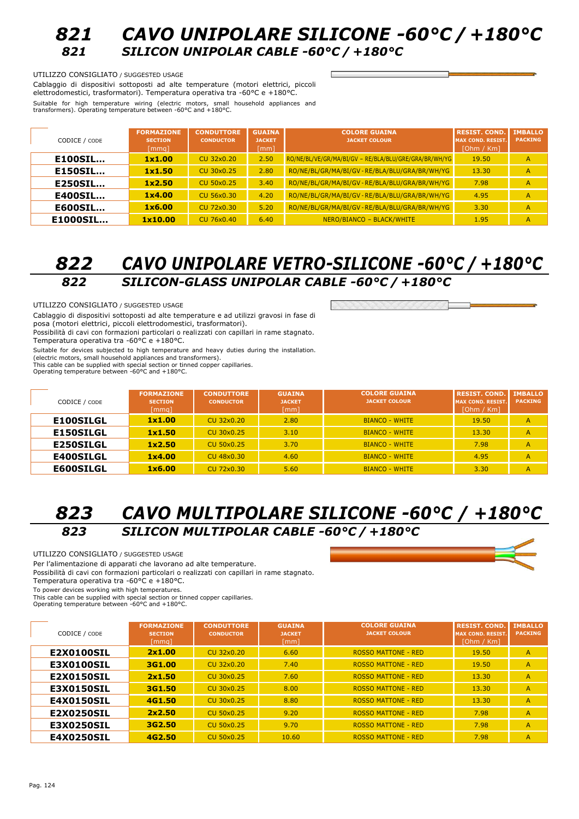### *821 CAVO UNIPOLARE SILICONE -60°C / +180°C 821 SILICON UNIPOLAR CABLE -60°C / +180°C*

#### UTILIZZO CONSIGLIATO / SUGGESTED USAGE

Cablaggio di dispositivi sottoposti ad alte temperature (motori elettrici, piccoli elettrodomestici, trasformatori). Temperatura operativa tra -60°C e +180°C. Suitable for high temperature wiring (electric motors, small household appliances and transformers). Operating temperature between -60°C and +180°C.

| CODICE / CODE  | <b>FORMAZIONE</b><br><b>SECTION</b><br>[mmq] | <b>CONDUTTORE</b><br><b>CONDUCTOR</b> | <b>GUAINA</b><br><b>JACKET</b><br>[mm] | <b>COLORE GUAINA</b><br><b>JACKET COLOUR</b>          | <b>RESIST. COND.</b><br><b>MAX COND. RESIST.</b><br>[Ohm / Km] | <b>IMBALLO</b><br><b>PACKING</b> |
|----------------|----------------------------------------------|---------------------------------------|----------------------------------------|-------------------------------------------------------|----------------------------------------------------------------|----------------------------------|
| <b>E100SIL</b> | 1x1.00                                       | CU 32x0.20                            | 2.50                                   | RO/NE/BL/VE/GR/MA/BI/GV - RE/BLA/BLU/GRE/GRA/BR/WH/YG | 19.50                                                          | A                                |
| <b>E150SIL</b> | 1x1.50                                       | CU 30x0.25                            | 2.80                                   | RO/NE/BL/GR/MA/BI/GV - RE/BLA/BLU/GRA/BR/WH/YG        | 13.30                                                          | $\overline{A}$                   |
| <b>E250SIL</b> | 1x2.50                                       | CU 50x0.25                            | 3.40                                   | RO/NE/BL/GR/MA/BI/GV - RE/BLA/BLU/GRA/BR/WH/YG        | 7.98                                                           | A                                |
| <b>E400SIL</b> | 1x4.00                                       | <b>CU 56x0.30</b>                     | 4.20                                   | RO/NE/BL/GR/MA/BI/GV - RE/BLA/BLU/GRA/BR/WH/YG        | 4.95                                                           | A                                |
| <b>E600SIL</b> | 1x6.00                                       | CU 72x0.30                            | 5.20                                   | RO/NE/BL/GR/MA/BI/GV - RE/BLA/BLU/GRA/BR/WH/YG        | 3.30                                                           | A                                |
| E1000SIL       | 1x10.00                                      | CU 76x0.40                            | 6.40                                   | NERO/BIANCO - BLACK/WHITE                             | 1.95                                                           | А                                |

### *822 CAVO UNIPOLARE VETRO-SILICONE -60°C / +180°C 822 SILICON-GLASS UNIPOLAR CABLE -60°C / +180°C*

UTILIZZO CONSIGLIATO / SUGGESTED USAGE

Cablaggio di dispositivi sottoposti ad alte temperature e ad utilizzi gravosi in fase di posa (motori elettrici, piccoli elettrodomestici, trasformatori).

Possibilità di cavi con formazioni particolari o realizzati con capillari in rame stagnato. Temperatura operativa tra -60°C e +180°C.

Suitable for devices subjected to high temperature and heavy duties during the installation. (electric motors, small household appliances and transformers). This cable can be supplied with special section or tinned copper capillaries. Operating temperature between -60°C and +180°C.

| CODICE / CODE    | <b>FORMAZIONE</b><br><b>SECTION</b><br>[mmq] | <b>CONDUTTORE</b><br><b>CONDUCTOR</b> | <b>GUAINA</b><br><b>JACKET</b><br>[mm] | <b>COLORE GUAINA</b><br><b>JACKET COLOUR</b> | <b>RESIST, COND.</b><br><b>IMAX COND. RESIST.</b><br>[Ohm / Km] | <b>IMBALLO</b><br><b>PACKING</b> |
|------------------|----------------------------------------------|---------------------------------------|----------------------------------------|----------------------------------------------|-----------------------------------------------------------------|----------------------------------|
| <b>E100SILGL</b> | 1x1.00                                       | CU 32x0.20                            | 2.80                                   | <b>BIANCO - WHITE</b>                        | 19.50                                                           | A                                |
| <b>E150SILGL</b> | 1x1.50                                       | CU 30x0.25                            | 3.10                                   | <b>BIANCO - WHITE</b>                        | 13.30                                                           | A                                |
| <b>E250SILGL</b> | 1x2.50                                       | CU 50x0.25                            | 3.70                                   | <b>BIANCO - WHITE</b>                        | 7.98                                                            | A                                |
| <b>E400SILGL</b> | 1x4.00                                       | CU 48x0.30                            | 4.60                                   | <b>BIANCO - WHITE</b>                        | 4.95                                                            | A                                |
| <b>E600SILGL</b> | 1x6.00                                       | CU 72x0.30                            | 5.60                                   | <b>BIANCO - WHITE</b>                        | 3.30                                                            | A                                |

### *823 CAVO MULTIPOLARE SILICONE -60°C / +180°C 823 SILICON MULTIPOLAR CABLE -60°C / +180°C*

#### UTILIZZO CONSIGLIATO / SUGGESTED USAGE

Per l'alimentazione di apparati che lavorano ad alte temperature.

Possibilità di cavi con formazioni particolari o realizzati con capillari in rame stagnato.

Temperatura operativa tra -60°C e +180°C.

To power devices working with high temperatures.

This cable can be supplied with special section or tinned copper capillaries. Operating temperature between -60°C and +180°C.

**FORMAZIONE CONDUTTORE GUAINA COLORE GUAINA RESIST. COND. IMBALLO** CODICE / CODE **SECTION CONDUCTOR JACKET JACKET COLOUR MAX COND. RESIST. PACKING** [mmq] [mm] [Ohm / Km] **E2X0100SIL 2x1.00** CU 32x0.20 6.60 ROSSO MATTONE - RED 19.50 A **E3X0100SIL 3G1.00** CU 32x0.20 7.40 ROSSO MATTONE - RED 19.50 A **E2X0150SIL 2x1.50** CU 30x0.25 7.60 ROSSO MATTONE - RED 13.30 A **E3X0150SIL 3G1.50** CU 30x0.25 8.00 ROSSO MATTONE - RED 13.30 A **E4X0150SIL | 4G1.50 CU 30x0.25 8.80 ROSSO MATTONE - RED | 13.30 A E2X0250SIL 2x2.50** CU 50x0.25 9.20 ROSSO MATTONE - RED 7.98 A **E3X0250SIL 3G2.50** CU 50x0.25 9.70 ROSSO MATTONE - RED 7.98 A **E4X0250SIL 64G2.50** CU 50x0.25 10.60 ROSSO MATTONE - RED 7.98